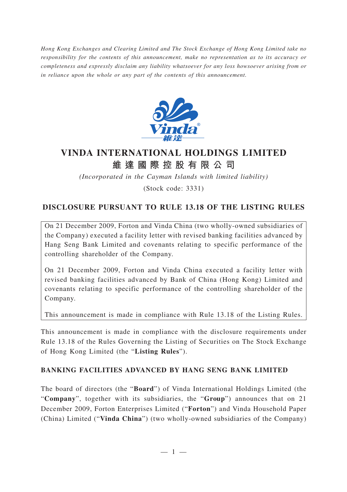*Hong Kong Exchanges and Clearing Limited and The Stock Exchange of Hong Kong Limited take no responsibility for the contents of this announcement, make no representation as to its accuracy or completeness and expressly disclaim any liability whatsoever for any loss howsoever arising from or in reliance upon the whole or any part of the contents of this announcement.*



# **VINDA INTERNATIONAL HOLDINGS LIMITED 維達國際控股有限公司**

*(Incorporated in the Cayman Islands with limited liability)*

(Stock code: 3331)

# **DISCLOSURE PURSUANT TO RULE 13.18 OF THE LISTING RULES**

On 21 December 2009, Forton and Vinda China (two wholly-owned subsidiaries of the Company) executed a facility letter with revised banking facilities advanced by Hang Seng Bank Limited and covenants relating to specific performance of the controlling shareholder of the Company.

On 21 December 2009, Forton and Vinda China executed a facility letter with revised banking facilities advanced by Bank of China (Hong Kong) Limited and covenants relating to specific performance of the controlling shareholder of the Company.

This announcement is made in compliance with Rule 13.18 of the Listing Rules.

This announcement is made in compliance with the disclosure requirements under Rule 13.18 of the Rules Governing the Listing of Securities on The Stock Exchange of Hong Kong Limited (the "**Listing Rules**").

#### **BANKING FACILITIES ADVANCED BY HANG SENG BANK LIMITED**

The board of directors (the "**Board**") of Vinda International Holdings Limited (the "**Company**", together with its subsidiaries, the "**Group**") announces that on 21 December 2009, Forton Enterprises Limited ("**Forton**") and Vinda Household Paper (China) Limited ("**Vinda China**") (two wholly-owned subsidiaries of the Company)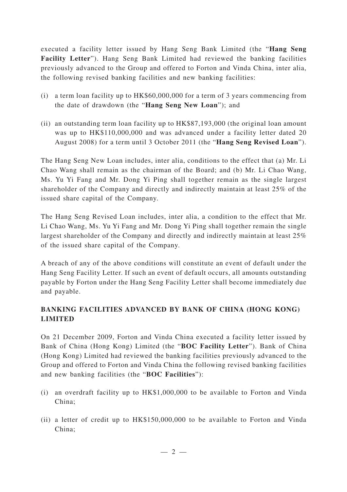executed a facility letter issued by Hang Seng Bank Limited (the "**Hang Seng Facility Letter**"). Hang Seng Bank Limited had reviewed the banking facilities previously advanced to the Group and offered to Forton and Vinda China, inter alia, the following revised banking facilities and new banking facilities:

- (i) a term loan facility up to HK\$60,000,000 for a term of 3 years commencing from the date of drawdown (the "**Hang Seng New Loan**"); and
- (ii) an outstanding term loan facility up to HK\$87,193,000 (the original loan amount was up to HK\$110,000,000 and was advanced under a facility letter dated 20 August 2008) for a term until 3 October 2011 (the "**Hang Seng Revised Loan**").

The Hang Seng New Loan includes, inter alia, conditions to the effect that (a) Mr. Li Chao Wang shall remain as the chairman of the Board; and (b) Mr. Li Chao Wang, Ms. Yu Yi Fang and Mr. Dong Yi Ping shall together remain as the single largest shareholder of the Company and directly and indirectly maintain at least 25% of the issued share capital of the Company.

The Hang Seng Revised Loan includes, inter alia, a condition to the effect that Mr. Li Chao Wang, Ms. Yu Yi Fang and Mr. Dong Yi Ping shall together remain the single largest shareholder of the Company and directly and indirectly maintain at least 25% of the issued share capital of the Company.

A breach of any of the above conditions will constitute an event of default under the Hang Seng Facility Letter. If such an event of default occurs, all amounts outstanding payable by Forton under the Hang Seng Facility Letter shall become immediately due and payable.

## **BANKING FACILITIES ADVANCED BY BANK OF CHINA (HONG KONG) LIMITED**

On 21 December 2009, Forton and Vinda China executed a facility letter issued by Bank of China (Hong Kong) Limited (the "**BOC Facility Letter**"). Bank of China (Hong Kong) Limited had reviewed the banking facilities previously advanced to the Group and offered to Forton and Vinda China the following revised banking facilities and new banking facilities (the "**BOC Facilities**"):

- (i) an overdraft facility up to HK\$1,000,000 to be available to Forton and Vinda China;
- (ii) a letter of credit up to HK\$150,000,000 to be available to Forton and Vinda China;